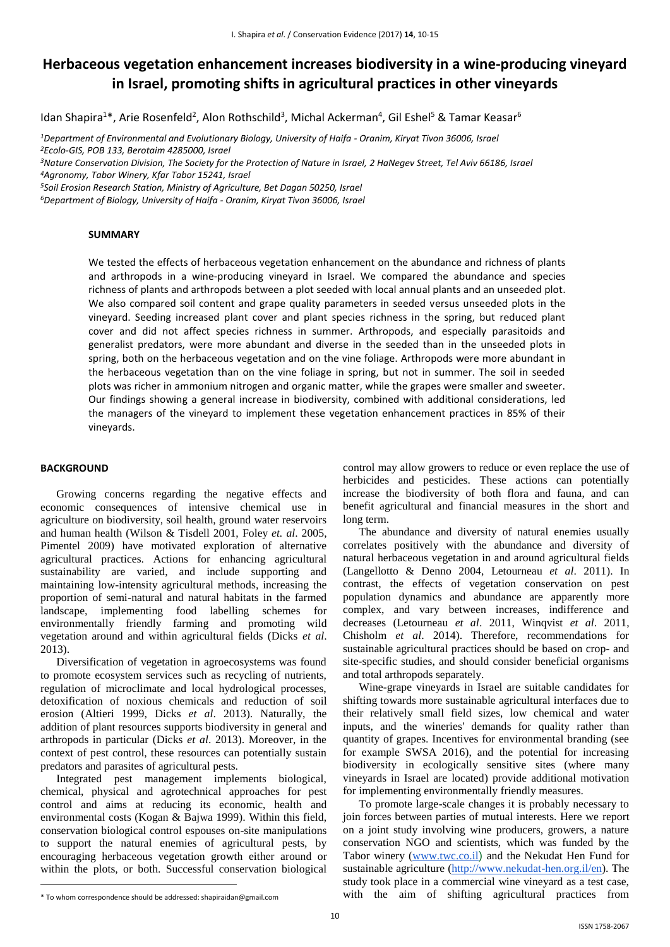# **Herbaceous vegetation enhancement increases biodiversity in a wine-producing vineyard in Israel, promoting shifts in agricultural practices in other vineyards**

Idan Shapira<sup>1\*</sup>, Arie Rosenfeld<sup>2</sup>, Alon Rothschild<sup>3</sup>, Michal Ackerman<sup>4</sup>, Gil Eshel<sup>5</sup> & Tamar Keasar<sup>6</sup>

*<sup>1</sup>Department of Environmental and Evolutionary Biology, University of Haifa - Oranim, Kiryat Tivon 36006, Israel <sup>2</sup>Ecolo-GIS, POB 133, Berotaim 4285000, Israel*

*<sup>3</sup>Nature Conservation Division, The Society for the Protection of Nature in Israel, 2 HaNegev Street, Tel Aviv 66186, Israel <sup>4</sup>Agronomy, Tabor Winery, Kfar Tabor 15241, Israel*

*<sup>5</sup>Soil Erosion Research Station, Ministry of Agriculture, Bet Dagan 50250, Israel*

*<sup>6</sup>Department of Biology, University of Haifa - Oranim, Kiryat Tivon 36006, Israel*

#### **SUMMARY**

We tested the effects of herbaceous vegetation enhancement on the abundance and richness of plants and arthropods in a wine-producing vineyard in Israel. We compared the abundance and species richness of plants and arthropods between a plot seeded with local annual plants and an unseeded plot. We also compared soil content and grape quality parameters in seeded versus unseeded plots in the vineyard. Seeding increased plant cover and plant species richness in the spring, but reduced plant cover and did not affect species richness in summer. Arthropods, and especially parasitoids and generalist predators, were more abundant and diverse in the seeded than in the unseeded plots in spring, both on the herbaceous vegetation and on the vine foliage. Arthropods were more abundant in the herbaceous vegetation than on the vine foliage in spring, but not in summer. The soil in seeded plots was richer in ammonium nitrogen and organic matter, while the grapes were smaller and sweeter. Our findings showing a general increase in biodiversity, combined with additional considerations, led the managers of the vineyard to implement these vegetation enhancement practices in 85% of their vineyards.

#### **BACKGROUND**

Growing concerns regarding the negative effects and economic consequences of intensive chemical use in agriculture on biodiversity, soil health, ground water reservoirs and human health (Wilson & Tisdell 2001, Foley *et. al*. 2005, Pimentel 2009) have motivated exploration of alternative agricultural practices. Actions for enhancing agricultural sustainability are varied, and include supporting and maintaining low-intensity agricultural methods, increasing the proportion of semi-natural and natural habitats in the farmed landscape, implementing food labelling schemes for environmentally friendly farming and promoting wild vegetation around and within agricultural fields (Dicks *et al*. 2013).

Diversification of vegetation in agroecosystems was found to promote ecosystem services such as recycling of nutrients, regulation of microclimate and local hydrological processes, detoxification of noxious chemicals and reduction of soil erosion (Altieri 1999, Dicks *et al*. 2013). Naturally, the addition of plant resources supports biodiversity in general and arthropods in particular (Dicks *et al*. 2013). Moreover, in the context of pest control, these resources can potentially sustain predators and parasites of agricultural pests.

Integrated pest management implements biological, chemical, physical and agrotechnical approaches for pest control and aims at reducing its economic, health and environmental costs (Kogan & Bajwa 1999). Within this field, conservation biological control espouses on-site manipulations to support the natural enemies of agricultural pests, by encouraging herbaceous vegetation growth either around or within the plots, or both. Successful conservation biological

control may allow growers to reduce or even replace the use of herbicides and pesticides. These actions can potentially increase the biodiversity of both flora and fauna, and can benefit agricultural and financial measures in the short and long term.

The abundance and diversity of natural enemies usually correlates positively with the abundance and diversity of natural herbaceous vegetation in and around agricultural fields (Langellotto & Denno 2004, Letourneau *et al*. 2011). In contrast, the effects of vegetation conservation on pest population dynamics and abundance are apparently more complex, and vary between increases, indifference and decreases (Letourneau *et al*. 2011, Winqvist *et al*. 2011, Chisholm *et al*. 2014). Therefore, recommendations for sustainable agricultural practices should be based on crop- and site-specific studies, and should consider beneficial organisms and total arthropods separately.

Wine-grape vineyards in Israel are suitable candidates for shifting towards more sustainable agricultural interfaces due to their relatively small field sizes, low chemical and water inputs, and the wineries' demands for quality rather than quantity of grapes. Incentives for environmental branding (see for example SWSA 2016), and the potential for increasing biodiversity in ecologically sensitive sites (where many vineyards in Israel are located) provide additional motivation for implementing environmentally friendly measures.

To promote large-scale changes it is probably necessary to join forces between parties of mutual interests. Here we report on a joint study involving wine producers, growers, a nature conservation NGO and scientists, which was funded by the Tabor winery [\(www.twc.co.il](http://www.twc.co.il/)) and the Nekudat Hen Fund for sustainable agriculture [\(http://www.nekudat-hen.org.il/en\)](http://www.nekudat-hen.org.il/en). The study took place in a commercial wine vineyard as a test case, with the aim of shifting agricultural practices from

<sup>\*</sup> To whom correspondence should be addressed: shapiraidan@gmail.com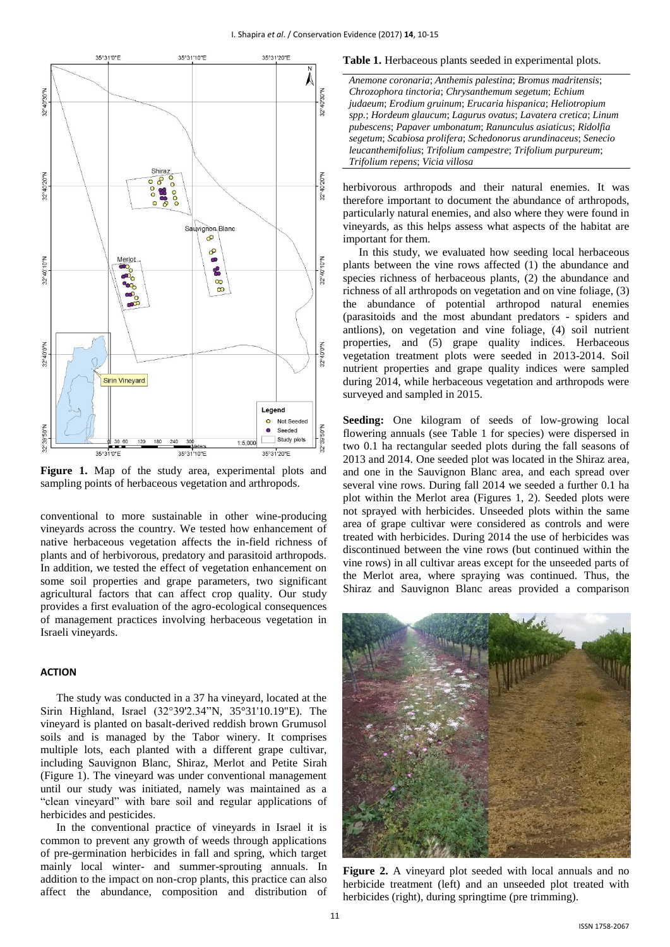

**Figure 1.** Map of the study area, experimental plots and sampling points of herbaceous vegetation and arthropods.

conventional to more sustainable in other wine-producing vineyards across the country. We tested how enhancement of native herbaceous vegetation affects the in-field richness of plants and of herbivorous, predatory and parasitoid arthropods. In addition, we tested the effect of vegetation enhancement on some soil properties and grape parameters, two significant agricultural factors that can affect crop quality. Our study provides a first evaluation of the agro-ecological consequences of management practices involving herbaceous vegetation in Israeli vineyards.

## **ACTION**

The study was conducted in a 37 ha vineyard, located at the Sirin Highland, Israel (32°39'2.34"N, 35°31'10.19"E). The vineyard is planted on basalt-derived reddish brown Grumusol soils and is managed by the Tabor winery. It comprises multiple lots, each planted with a different grape cultivar, including Sauvignon Blanc, Shiraz, Merlot and Petite Sirah (Figure 1). The vineyard was under conventional management until our study was initiated, namely was maintained as a "clean vineyard" with bare soil and regular applications of herbicides and pesticides.

In the conventional practice of vineyards in Israel it is common to prevent any growth of weeds through applications of pre-germination herbicides in fall and spring, which target mainly local winter- and summer-sprouting annuals. In addition to the impact on non-crop plants, this practice can also affect the abundance, composition and distribution of

#### **Table 1.** Herbaceous plants seeded in experimental plots.

*Anemone coronaria*; *[Anthemis palestina](http://flora.org.il/plants/ANTPAL/)*; *[Bromus madritensis](http://flora.org.il/plants/BROMAD/)*; *[Chrozophora tinctoria](http://flora.org.il/plants/CHRTIN/)*; *[Chrysanthemum segetum](http://flora.org.il/plants/chrseg/)*; *Echium judaeum*; *[Erodium gruinum](http://flora.org.il/plants/EROGRU/)*; *[Erucaria hispanica](http://flora.org.il/plants/ERUHIS/)*; *[Heliotropium](http://flora.org.il/plants/helsua/) spp.*; *[Hordeum glaucum](http://flora.org.il/plants/HORGLA/)*; *[Lagurus ovatus](http://flora.org.il/plants/LAGOVA/)*; *[Lavatera cretica](http://flora.org.il/plants/lavcre/)*; *Linum pubescens*; *Papaver umbonatum*; *Ranunculus asiaticus*; *Ridolfia segetum*; *Scabiosa prolifera*; *[Schedonorus arundinaceus](http://flora.org.il/plants/SCHARU/)*; *Senecio leucanthemifolius*; *[Trifolium campestre](http://flora.org.il/plants/TRICAM/)*; *Trifolium purpureum*; *[Trifolium repens](http://flora.org.il/plants/TRIREP/)*; *Vicia villosa*

herbivorous arthropods and their natural enemies. It was therefore important to document the abundance of arthropods, particularly natural enemies, and also where they were found in vineyards, as this helps assess what aspects of the habitat are important for them.

In this study, we evaluated how seeding local herbaceous plants between the vine rows affected (1) the abundance and species richness of herbaceous plants, (2) the abundance and richness of all arthropods on vegetation and on vine foliage, (3) the abundance of potential arthropod natural enemies (parasitoids and the most abundant predators - spiders and antlions), on vegetation and vine foliage, (4) soil nutrient properties, and (5) grape quality indices. Herbaceous vegetation treatment plots were seeded in 2013-2014. Soil nutrient properties and grape quality indices were sampled during 2014, while herbaceous vegetation and arthropods were surveyed and sampled in 2015.

**Seeding:** One kilogram of seeds of low-growing local flowering annuals (see Table 1 for species) were dispersed in two 0.1 ha rectangular seeded plots during the fall seasons of 2013 and 2014. One seeded plot was located in the Shiraz area, and one in the Sauvignon Blanc area, and each spread over several vine rows. During fall 2014 we seeded a further 0.1 ha plot within the Merlot area (Figures 1, 2). Seeded plots were not sprayed with herbicides. Unseeded plots within the same area of grape cultivar were considered as controls and were treated with herbicides. During 2014 the use of herbicides was discontinued between the vine rows (but continued within the vine rows) in all cultivar areas except for the unseeded parts of the Merlot area, where spraying was continued. Thus, the Shiraz and Sauvignon Blanc areas provided a comparison



**Figure 2.** A vineyard plot seeded with local annuals and no herbicide treatment (left) and an unseeded plot treated with herbicides (right), during springtime (pre trimming).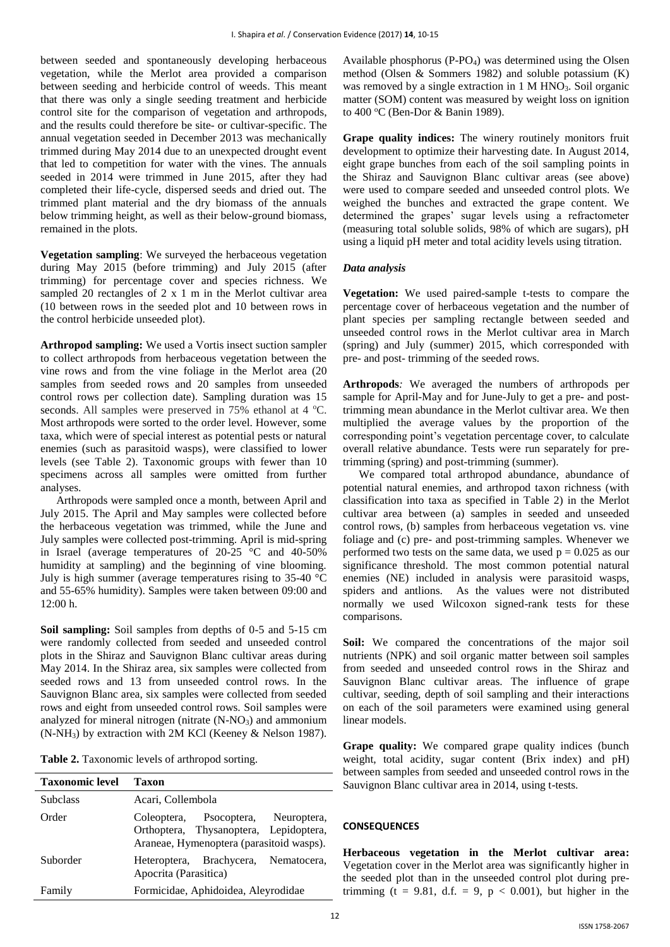between seeded and spontaneously developing herbaceous vegetation, while the Merlot area provided a comparison between seeding and herbicide control of weeds. This meant that there was only a single seeding treatment and herbicide control site for the comparison of vegetation and arthropods, and the results could therefore be site- or cultivar-specific. The annual vegetation seeded in December 2013 was mechanically trimmed during May 2014 due to an unexpected drought event that led to competition for water with the vines. The annuals seeded in 2014 were trimmed in June 2015, after they had completed their life-cycle, dispersed seeds and dried out. The trimmed plant material and the dry biomass of the annuals below trimming height, as well as their below-ground biomass, remained in the plots.

**Vegetation sampling**: We surveyed the herbaceous vegetation during May 2015 (before trimming) and July 2015 (after trimming) for percentage cover and species richness. We sampled 20 rectangles of 2 x 1 m in the Merlot cultivar area (10 between rows in the seeded plot and 10 between rows in the control herbicide unseeded plot).

**Arthropod sampling:** We used a Vortis insect suction sampler to collect arthropods from herbaceous vegetation between the vine rows and from the vine foliage in the Merlot area (20 samples from seeded rows and 20 samples from unseeded control rows per collection date). Sampling duration was 15 seconds. All samples were preserved in  $75%$  ethanol at 4 °C. Most arthropods were sorted to the order level. However, some taxa, which were of special interest as potential pests or natural enemies (such as parasitoid wasps), were classified to lower levels (see Table 2). Taxonomic groups with fewer than 10 specimens across all samples were omitted from further analyses.

Arthropods were sampled once a month, between April and July 2015. The April and May samples were collected before the herbaceous vegetation was trimmed, while the June and July samples were collected post-trimming. April is mid-spring in Israel (average temperatures of 20-25 °C and 40-50% humidity at sampling) and the beginning of vine blooming. July is high summer (average temperatures rising to 35-40 °C and 55-65% humidity). Samples were taken between 09:00 and 12:00 h.

**Soil sampling:** Soil samples from depths of 0-5 and 5-15 cm were randomly collected from seeded and unseeded control plots in the Shiraz and Sauvignon Blanc cultivar areas during May 2014. In the Shiraz area, six samples were collected from seeded rows and 13 from unseeded control rows. In the Sauvignon Blanc area, six samples were collected from seeded rows and eight from unseeded control rows. Soil samples were analyzed for mineral nitrogen (nitrate  $(N-NO<sub>3</sub>)$ ) and ammonium (N-NH3) by extraction with 2M KCl (Keeney & Nelson 1987).

|  | Table 2. Taxonomic levels of arthropod sorting. |  |  |  |
|--|-------------------------------------------------|--|--|--|
|--|-------------------------------------------------|--|--|--|

| <b>Taxonomic level</b> | Taxon                                                                                                                     |  |  |  |
|------------------------|---------------------------------------------------------------------------------------------------------------------------|--|--|--|
| <b>Subclass</b>        | Acari, Collembola                                                                                                         |  |  |  |
| Order                  | Coleoptera, Psocoptera, Neuroptera,<br>Orthoptera, Thysanoptera, Lepidoptera,<br>Araneae, Hymenoptera (parasitoid wasps). |  |  |  |
| Suborder               | Heteroptera, Brachycera, Nematocera,<br>Apocrita (Parasitica)                                                             |  |  |  |
| Family                 | Formicidae, Aphidoidea, Aleyrodidae                                                                                       |  |  |  |

Available phosphorus (P-PO4) was determined using the Olsen method (Olsen & Sommers 1982) and soluble potassium (K) was removed by a single extraction in 1 M HNO<sub>3</sub>. Soil organic matter (SOM) content was measured by weight loss on ignition to 400 °C (Ben-Dor & Banin 1989).

**Grape quality indices:** The winery routinely monitors fruit development to optimize their harvesting date. In August 2014, eight grape bunches from each of the soil sampling points in the Shiraz and Sauvignon Blanc cultivar areas (see above) were used to compare seeded and unseeded control plots. We weighed the bunches and extracted the grape content. We determined the grapes' sugar levels using a refractometer (measuring total soluble solids, 98% of which are sugars), pH using a liquid pH meter and total acidity levels using titration.

## *Data analysis*

**Vegetation:** We used paired-sample t-tests to compare the percentage cover of herbaceous vegetation and the number of plant species per sampling rectangle between seeded and unseeded control rows in the Merlot cultivar area in March (spring) and July (summer) 2015, which corresponded with pre- and post- trimming of the seeded rows.

**Arthropods***:* We averaged the numbers of arthropods per sample for April-May and for June-July to get a pre- and posttrimming mean abundance in the Merlot cultivar area. We then multiplied the average values by the proportion of the corresponding point's vegetation percentage cover, to calculate overall relative abundance. Tests were run separately for pretrimming (spring) and post-trimming (summer).

We compared total arthropod abundance, abundance of potential natural enemies, and arthropod taxon richness (with classification into taxa as specified in Table 2) in the Merlot cultivar area between (a) samples in seeded and unseeded control rows, (b) samples from herbaceous vegetation vs. vine foliage and (c) pre- and post-trimming samples. Whenever we performed two tests on the same data, we used  $p = 0.025$  as our significance threshold. The most common potential natural enemies (NE) included in analysis were parasitoid wasps, spiders and antlions. As the values were not distributed normally we used Wilcoxon signed-rank tests for these comparisons.

**Soil:** We compared the concentrations of the major soil nutrients (NPK) and soil organic matter between soil samples from seeded and unseeded control rows in the Shiraz and Sauvignon Blanc cultivar areas. The influence of grape cultivar, seeding, depth of soil sampling and their interactions on each of the soil parameters were examined using general linear models.

Grape quality: We compared grape quality indices (bunch) weight, total acidity, sugar content (Brix index) and pH) between samples from seeded and unseeded control rows in the Sauvignon Blanc cultivar area in 2014, using t-tests.

## **CONSEQUENCES**

**Herbaceous vegetation in the Merlot cultivar area:** Vegetation cover in the Merlot area was significantly higher in the seeded plot than in the unseeded control plot during pretrimming (t = 9.81, d.f. = 9,  $p < 0.001$ ), but higher in the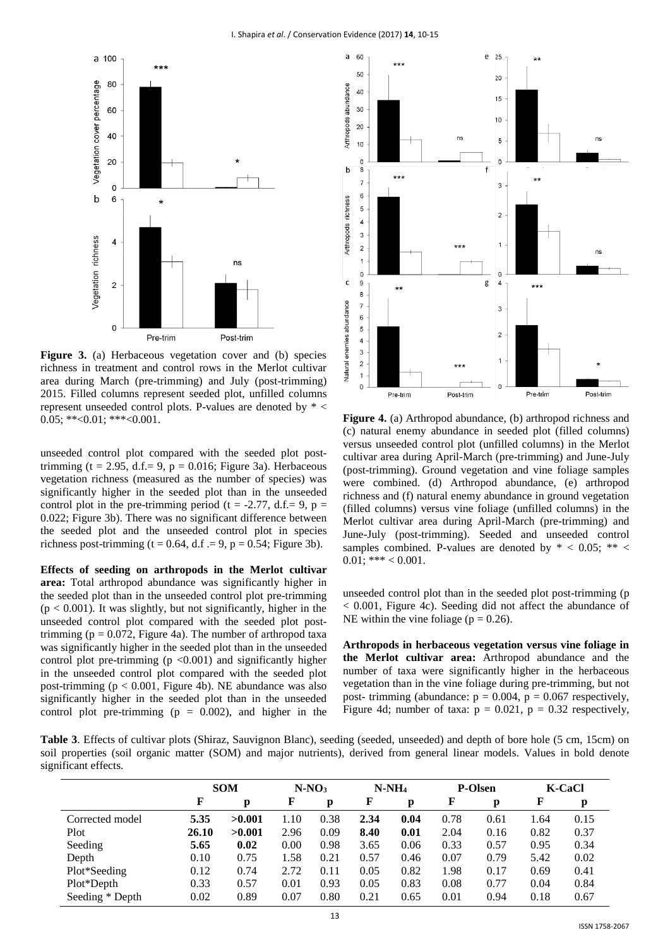

**Figure 3.** (a) Herbaceous vegetation cover and (b) species richness in treatment and control rows in the Merlot cultivar area during March (pre-trimming) and July (post-trimming) 2015. Filled columns represent seeded plot, unfilled columns represent unseeded control plots. P-values are denoted by \* <  $0.05$ ; \*\*< $0.01$ ; \*\*\*< $0.001$ .

unseeded control plot compared with the seeded plot posttrimming (t = 2.95, d.f. = 9,  $p = 0.016$ ; Figure 3a). Herbaceous vegetation richness (measured as the number of species) was significantly higher in the seeded plot than in the unseeded control plot in the pre-trimming period (t = -2.77, d.f.= 9, p = 0.022; Figure 3b). There was no significant difference between the seeded plot and the unseeded control plot in species richness post-trimming ( $t = 0.64$ , d.f  $= 9$ ,  $p = 0.54$ ; Figure 3b).

**Effects of seeding on arthropods in the Merlot cultivar area:** Total arthropod abundance was significantly higher in the seeded plot than in the unseeded control plot pre-trimming  $(p < 0.001)$ . It was slightly, but not significantly, higher in the unseeded control plot compared with the seeded plot posttrimming ( $p = 0.072$ , Figure 4a). The number of arthropod taxa was significantly higher in the seeded plot than in the unseeded control plot pre-trimming ( $p \le 0.001$ ) and significantly higher in the unseeded control plot compared with the seeded plot post-trimming  $(p < 0.001$ , Figure 4b). NE abundance was also significantly higher in the seeded plot than in the unseeded control plot pre-trimming ( $p = 0.002$ ), and higher in the



**Figure 4.** (a) Arthropod abundance, (b) arthropod richness and (c) natural enemy abundance in seeded plot (filled columns) versus unseeded control plot (unfilled columns) in the Merlot cultivar area during April-March (pre-trimming) and June-July (post-trimming). Ground vegetation and vine foliage samples were combined. (d) Arthropod abundance, (e) arthropod richness and (f) natural enemy abundance in ground vegetation (filled columns) versus vine foliage (unfilled columns) in the Merlot cultivar area during April-March (pre-trimming) and June-July (post-trimming). Seeded and unseeded control samples combined. P-values are denoted by  $* < 0.05; ** <$  $0.01$ ; \*\*\* < 0.001.

unseeded control plot than in the seeded plot post-trimming (p < 0.001, Figure 4c). Seeding did not affect the abundance of NE within the vine foliage ( $p = 0.26$ ).

**Arthropods in herbaceous vegetation versus vine foliage in the Merlot cultivar area:** Arthropod abundance and the number of taxa were significantly higher in the herbaceous vegetation than in the vine foliage during pre-trimming, but not post- trimming (abundance:  $p = 0.004$ ,  $p = 0.067$  respectively, Figure 4d; number of taxa:  $p = 0.021$ ,  $p = 0.32$  respectively,

**Table 3**. Effects of cultivar plots (Shiraz, Sauvignon Blanc), seeding (seeded, unseeded) and depth of bore hole (5 cm, 15cm) on soil properties (soil organic matter (SOM) and major nutrients), derived from general linear models. Values in bold denote significant effects.

|                 | <b>SOM</b> |        |      | $N-NO3$ | $N-NH4$ |      | <b>P-Olsen</b> |      | <b>K-CaCl</b> |      |
|-----------------|------------|--------|------|---------|---------|------|----------------|------|---------------|------|
|                 |            | p      | F    | p       | F       | p    | F              | р    |               | p    |
| Corrected model | 5.35       | >0.001 | 1.10 | 0.38    | 2.34    | 0.04 | 0.78           | 0.61 | 1.64          | 0.15 |
| Plot            | 26.10      | >0.001 | 2.96 | 0.09    | 8.40    | 0.01 | 2.04           | 0.16 | 0.82          | 0.37 |
| Seeding         | 5.65       | 0.02   | 0.00 | 0.98    | 3.65    | 0.06 | 0.33           | 0.57 | 0.95          | 0.34 |
| Depth           | 0.10       | 0.75   | 1.58 | 0.21    | 0.57    | 0.46 | 0.07           | 0.79 | 5.42          | 0.02 |
| Plot*Seeding    | 0.12       | 0.74   | 2.72 | 0.11    | 0.05    | 0.82 | 1.98           | 0.17 | 0.69          | 0.41 |
| Plot*Depth      | 0.33       | 0.57   | 0.01 | 0.93    | 0.05    | 0.83 | 0.08           | 0.77 | 0.04          | 0.84 |
| Seeding * Depth | 0.02       | 0.89   | 0.07 | 0.80    | 0.21    | 0.65 | 0.01           | 0.94 | 0.18          | 0.67 |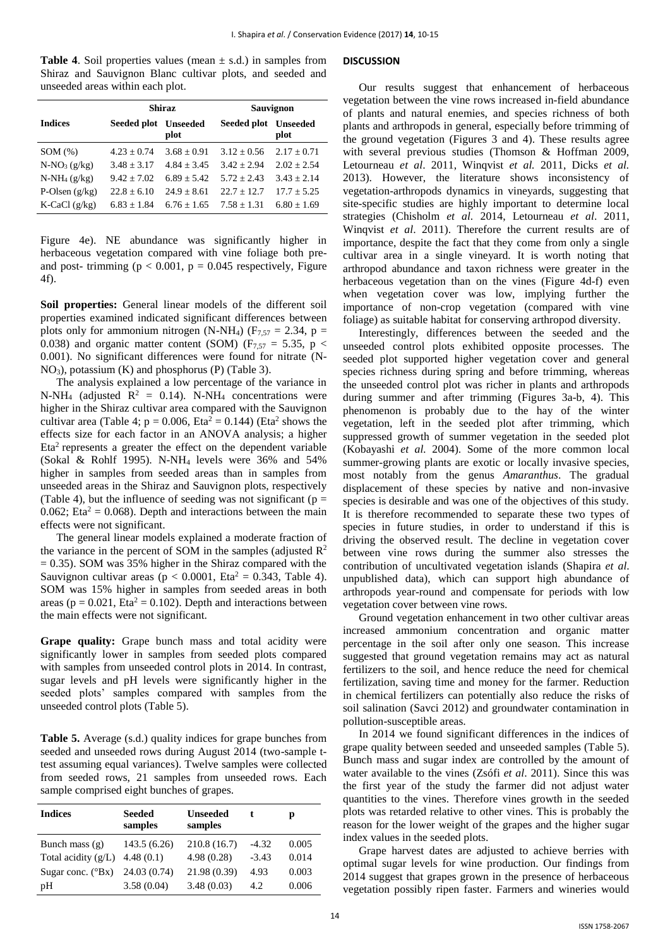**Table 4.** Soil properties values (mean  $\pm$  s.d.) in samples from Shiraz and Sauvignon Blanc cultivar plots, and seeded and unseeded areas within each plot.

|                  | <b>Shiraz</b>        |               | Sauvignon            |                 |  |  |
|------------------|----------------------|---------------|----------------------|-----------------|--|--|
| <b>Indices</b>   | Seeded plot Unseeded | plot          | Seeded plot Unseeded | plot            |  |  |
| SOM(%)           | $4.23 + 0.74$        | $3.68 + 0.91$ | $3.12 + 0.56$        | $2.17 + 0.71$   |  |  |
| $N-NO_3(g/kg)$   | $3.48 + 3.17$        | $4.84 + 3.45$ | $3.42 + 2.94$        | $2.02 + 2.54$   |  |  |
| $N-NH_4(g/kg)$   | $9.42 + 7.02$        | $6.89 + 5.42$ | $5.72 \pm 2.43$      | $3.43 + 2.14$   |  |  |
| P-Olsen $(g/kg)$ | $22.8 + 6.10$        | $24.9 + 8.61$ | $22.7 + 12.7$        | $17.7 + 5.25$   |  |  |
| K-CaCl $(g/kg)$  | $6.83 + 1.84$        | $6.76 + 1.65$ | $7.58 + 1.31$        | $6.80 \pm 1.69$ |  |  |

Figure 4e). NE abundance was significantly higher in herbaceous vegetation compared with vine foliage both preand post- trimming ( $p < 0.001$ ,  $p = 0.045$  respectively, Figure 4f).

**Soil properties:** General linear models of the different soil properties examined indicated significant differences between plots only for ammonium nitrogen (N-NH<sub>4</sub>) ( $F_{7,57} = 2.34$ , p = 0.038) and organic matter content (SOM) ( $F_{7,57} = 5.35$ , p < 0.001). No significant differences were found for nitrate (N-NO3), potassium (K) and phosphorus (P) (Table 3).

The analysis explained a low percentage of the variance in N-NH<sub>4</sub> (adjusted  $R^2 = 0.14$ ). N-NH<sub>4</sub> concentrations were higher in the Shiraz cultivar area compared with the Sauvignon cultivar area (Table 4;  $p = 0.006$ , Eta<sup>2</sup> = 0.144) (Eta<sup>2</sup> shows the effects size for each factor in an ANOVA analysis; a higher Eta<sup>2</sup> represents a greater the effect on the dependent variable (Sokal & Rohlf 1995). N-NH<sub>4</sub> levels were  $36\%$  and  $54\%$ higher in samples from seeded areas than in samples from unseeded areas in the Shiraz and Sauvignon plots, respectively (Table 4), but the influence of seeding was not significant ( $p =$ 0.062; Eta<sup>2</sup> = 0.068). Depth and interactions between the main effects were not significant.

The general linear models explained a moderate fraction of the variance in the percent of SOM in the samples (adjusted  $\mathbb{R}^2$ )  $= 0.35$ ). SOM was 35% higher in the Shiraz compared with the Sauvignon cultivar areas ( $p < 0.0001$ , Eta<sup>2</sup> = 0.343, Table 4). SOM was 15% higher in samples from seeded areas in both areas ( $p = 0.021$ , Eta<sup>2</sup> = 0.102). Depth and interactions between the main effects were not significant.

Grape quality: Grape bunch mass and total acidity were significantly lower in samples from seeded plots compared with samples from unseeded control plots in 2014. In contrast, sugar levels and pH levels were significantly higher in the seeded plots' samples compared with samples from the unseeded control plots (Table 5).

**Table 5.** Average (s.d.) quality indices for grape bunches from seeded and unseeded rows during August 2014 (two-sample ttest assuming equal variances). Twelve samples were collected from seeded rows, 21 samples from unseeded rows. Each sample comprised eight bunches of grapes.

| <b>Indices</b>             | <b>Seeded</b><br>samples | Unseeded<br>samples |         | D     |
|----------------------------|--------------------------|---------------------|---------|-------|
| Bunch mass $(g)$           | 143.5 (6.26)             | 210.8(16.7)         | $-4.32$ | 0.005 |
| Total acidity $(g/L)$      | 4.48(0.1)                | 4.98(0.28)          | $-3.43$ | 0.014 |
| Sugar conc. $(^{\circ}Bx)$ | 24.03 (0.74)             | 21.98 (0.39)        | 4.93    | 0.003 |
| pH                         | 3.58(0.04)               | 3.48(0.03)          | 4.2     | 0.006 |

## **DISCUSSION**

Our results suggest that enhancement of herbaceous vegetation between the vine rows increased in-field abundance of plants and natural enemies, and species richness of both plants and arthropods in general, especially before trimming of the ground vegetation (Figures 3 and 4). These results agree with several previous studies (Thomson & Hoffman 2009, Letourneau *et al*. 2011, Winqvist *et al.* 2011, Dicks *et al.* 2013). However, the literature shows inconsistency of vegetation-arthropods dynamics in vineyards, suggesting that site-specific studies are highly important to determine local strategies (Chisholm *et al*. 2014, Letourneau *et al*. 2011, Winqvist *et al*. 2011). Therefore the current results are of importance, despite the fact that they come from only a single cultivar area in a single vineyard. It is worth noting that arthropod abundance and taxon richness were greater in the herbaceous vegetation than on the vines (Figure 4d-f) even when vegetation cover was low, implying further the importance of non-crop vegetation (compared with vine foliage) as suitable habitat for conserving arthropod diversity.

Interestingly, differences between the seeded and the unseeded control plots exhibited opposite processes. The seeded plot supported higher vegetation cover and general species richness during spring and before trimming, whereas the unseeded control plot was richer in plants and arthropods during summer and after trimming (Figures 3a-b, 4). This phenomenon is probably due to the hay of the winter vegetation, left in the seeded plot after trimming, which suppressed growth of summer vegetation in the seeded plot (Kobayashi *et al.* 2004). Some of the more common local summer-growing plants are exotic or locally invasive species, most notably from the genus *Amaranthus*. The gradual displacement of these species by native and non-invasive species is desirable and was one of the objectives of this study. It is therefore recommended to separate these two types of species in future studies, in order to understand if this is driving the observed result. The decline in vegetation cover between vine rows during the summer also stresses the contribution of uncultivated vegetation islands (Shapira *et al*. unpublished data), which can support high abundance of arthropods year-round and compensate for periods with low vegetation cover between vine rows.

Ground vegetation enhancement in two other cultivar areas increased ammonium concentration and organic matter percentage in the soil after only one season. This increase suggested that ground vegetation remains may act as natural fertilizers to the soil, and hence reduce the need for chemical fertilization, saving time and money for the farmer. Reduction in chemical fertilizers can potentially also reduce the risks of soil salination (Savci 2012) and groundwater contamination in pollution-susceptible areas.

In 2014 we found significant differences in the indices of grape quality between seeded and unseeded samples (Table 5). Bunch mass and sugar index are controlled by the amount of water available to the vines (Zsófi *et al*. 2011). Since this was the first year of the study the farmer did not adjust water quantities to the vines. Therefore vines growth in the seeded plots was retarded relative to other vines. This is probably the reason for the lower weight of the grapes and the higher sugar index values in the seeded plots.

Grape harvest dates are adjusted to achieve berries with optimal sugar levels for wine production. Our findings from 2014 suggest that grapes grown in the presence of herbaceous vegetation possibly ripen faster. Farmers and wineries would